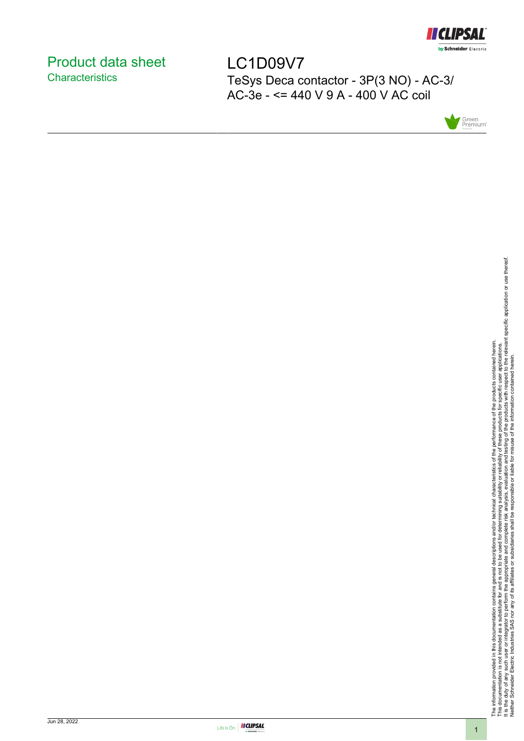

# <span id="page-0-0"></span>Product data sheet **Characteristics**

LC1D09V7 TeSys Deca contactor - 3P(3 NO) - AC-3/ AC-3e - <= 440 V 9 A - 400 V AC coil



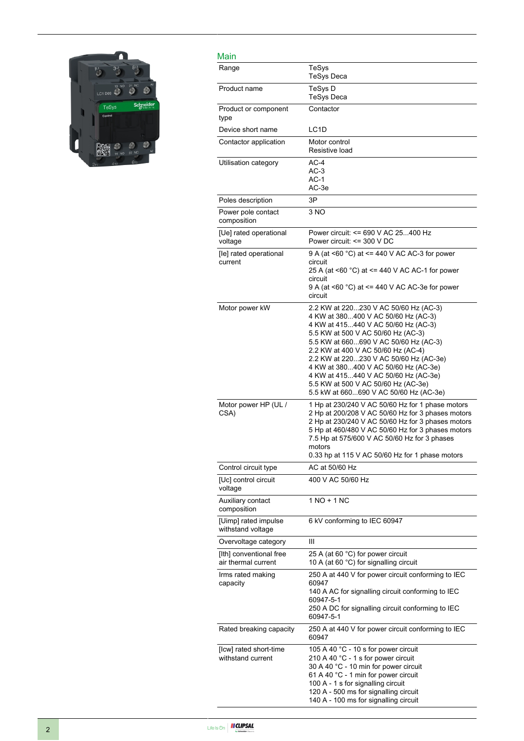

| Main                                           |                                                                                                                                                                                                                                                                                                                                                                                                                                                     |
|------------------------------------------------|-----------------------------------------------------------------------------------------------------------------------------------------------------------------------------------------------------------------------------------------------------------------------------------------------------------------------------------------------------------------------------------------------------------------------------------------------------|
| Range                                          | TeSys<br><b>TeSys Deca</b>                                                                                                                                                                                                                                                                                                                                                                                                                          |
| Product name                                   | TeSys D<br><b>TeSys Deca</b>                                                                                                                                                                                                                                                                                                                                                                                                                        |
| Product or component<br>type                   | Contactor                                                                                                                                                                                                                                                                                                                                                                                                                                           |
| Device short name                              | LC <sub>1</sub> D                                                                                                                                                                                                                                                                                                                                                                                                                                   |
| Contactor application                          | Motor control<br>Resistive load                                                                                                                                                                                                                                                                                                                                                                                                                     |
| Utilisation category                           | $AC-4$<br>$AC-3$<br>$AC-1$<br>AC-3e                                                                                                                                                                                                                                                                                                                                                                                                                 |
| Poles description                              | 3P                                                                                                                                                                                                                                                                                                                                                                                                                                                  |
| Power pole contact<br>composition              | 3 NO                                                                                                                                                                                                                                                                                                                                                                                                                                                |
| [Ue] rated operational<br>voltage              | Power circuit: <= 690 V AC 25400 Hz<br>Power circuit: <= 300 V DC                                                                                                                                                                                                                                                                                                                                                                                   |
| [le] rated operational<br>current              | 9 A (at <60 °C) at <= 440 V AC AC-3 for power<br>circuit<br>25 A (at <60 °C) at <= 440 V AC AC-1 for power<br>circuit<br>9 A (at <60 $^{\circ}$ C) at <= 440 V AC AC-3e for power<br>circuit                                                                                                                                                                                                                                                        |
| Motor power kW                                 | 2.2 KW at 220230 V AC 50/60 Hz (AC-3)<br>4 KW at 380400 V AC 50/60 Hz (AC-3)<br>4 KW at 415440 V AC 50/60 Hz (AC-3)<br>5.5 KW at 500 V AC 50/60 Hz (AC-3)<br>5.5 KW at 660690 V AC 50/60 Hz (AC-3)<br>2.2 KW at 400 V AC 50/60 Hz (AC-4)<br>2.2 KW at 220230 V AC 50/60 Hz (AC-3e)<br>4 KW at 380400 V AC 50/60 Hz (AC-3e)<br>4 KW at 415440 V AC 50/60 Hz (AC-3e)<br>5.5 KW at 500 V AC 50/60 Hz (AC-3e)<br>5.5 kW at 660690 V AC 50/60 Hz (AC-3e) |
| Motor power HP (UL /<br>CSA)                   | 1 Hp at 230/240 V AC 50/60 Hz for 1 phase motors<br>2 Hp at 200/208 V AC 50/60 Hz for 3 phases motors<br>2 Hp at 230/240 V AC 50/60 Hz for 3 phases motors<br>5 Hp at 460/480 V AC 50/60 Hz for 3 phases motors<br>7.5 Hp at 575/600 V AC 50/60 Hz for 3 phases<br>motors<br>0.33 hp at 115 V AC 50/60 Hz for 1 phase motors                                                                                                                        |
| Control circuit type                           | AC at 50/60 Hz                                                                                                                                                                                                                                                                                                                                                                                                                                      |
| [Uc] control circuit<br>voltage                | 400 V AC 50/60 Hz                                                                                                                                                                                                                                                                                                                                                                                                                                   |
| Auxiliary contact<br>composition               | 1 NO + 1 NC                                                                                                                                                                                                                                                                                                                                                                                                                                         |
| [Uimp] rated impulse<br>withstand voltage      | 6 kV conforming to IEC 60947                                                                                                                                                                                                                                                                                                                                                                                                                        |
| Overvoltage category                           | Ш                                                                                                                                                                                                                                                                                                                                                                                                                                                   |
| [Ith] conventional free<br>air thermal current | 25 A (at 60 °C) for power circuit<br>10 A (at 60 °C) for signalling circuit                                                                                                                                                                                                                                                                                                                                                                         |
| Irms rated making<br>capacity                  | 250 A at 440 V for power circuit conforming to IEC<br>60947<br>140 A AC for signalling circuit conforming to IEC<br>60947-5-1<br>250 A DC for signalling circuit conforming to IEC<br>60947-5-1                                                                                                                                                                                                                                                     |
| Rated breaking capacity                        | 250 A at 440 V for power circuit conforming to IEC<br>60947                                                                                                                                                                                                                                                                                                                                                                                         |
| [Icw] rated short-time<br>withstand current    | 105 A 40 °C - 10 s for power circuit<br>210 A 40 °C - 1 s for power circuit<br>30 A 40 °C - 10 min for power circuit<br>61 A 40 °C - 1 min for power circuit<br>100 A - 1 s for signalling circuit<br>120 A - 500 ms for signalling circuit<br>140 A - 100 ms for signalling circuit                                                                                                                                                                |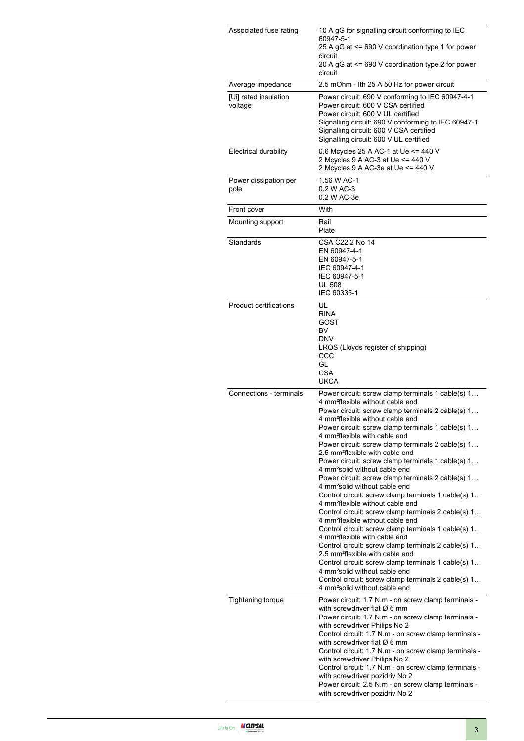| Associated fuse rating           | 10 A gG for signalling circuit conforming to IEC<br>60947-5-1<br>25 A gG at <= 690 V coordination type 1 for power<br>circuit<br>20 A gG at <= 690 V coordination type 2 for power<br>circuit                                                                                                                                                                                                                                                                                                                                                                                                                                                                                                                                                                                                                                                                                                                                                                                                                                                                                                                                                                                                                                                    |  |  |
|----------------------------------|--------------------------------------------------------------------------------------------------------------------------------------------------------------------------------------------------------------------------------------------------------------------------------------------------------------------------------------------------------------------------------------------------------------------------------------------------------------------------------------------------------------------------------------------------------------------------------------------------------------------------------------------------------------------------------------------------------------------------------------------------------------------------------------------------------------------------------------------------------------------------------------------------------------------------------------------------------------------------------------------------------------------------------------------------------------------------------------------------------------------------------------------------------------------------------------------------------------------------------------------------|--|--|
| Average impedance                | 2.5 mOhm - Ith 25 A 50 Hz for power circuit                                                                                                                                                                                                                                                                                                                                                                                                                                                                                                                                                                                                                                                                                                                                                                                                                                                                                                                                                                                                                                                                                                                                                                                                      |  |  |
| [Ui] rated insulation<br>voltage | Power circuit: 690 V conforming to IEC 60947-4-1<br>Power circuit: 600 V CSA certified<br>Power circuit: 600 V UL certified<br>Signalling circuit: 690 V conforming to IEC 60947-1<br>Signalling circuit: 600 V CSA certified<br>Signalling circuit: 600 V UL certified                                                                                                                                                                                                                                                                                                                                                                                                                                                                                                                                                                                                                                                                                                                                                                                                                                                                                                                                                                          |  |  |
| <b>Electrical durability</b>     | 0.6 Mcycles 25 A AC-1 at Ue <= 440 V<br>2 Mcycles 9 A AC-3 at Ue <= 440 V<br>2 Mcycles 9 A AC-3e at Ue <= 440 V                                                                                                                                                                                                                                                                                                                                                                                                                                                                                                                                                                                                                                                                                                                                                                                                                                                                                                                                                                                                                                                                                                                                  |  |  |
| Power dissipation per<br>pole    | 1.56 W AC-1<br>0.2 W AC-3<br>0.2 W AC-3e                                                                                                                                                                                                                                                                                                                                                                                                                                                                                                                                                                                                                                                                                                                                                                                                                                                                                                                                                                                                                                                                                                                                                                                                         |  |  |
| Front cover                      | With                                                                                                                                                                                                                                                                                                                                                                                                                                                                                                                                                                                                                                                                                                                                                                                                                                                                                                                                                                                                                                                                                                                                                                                                                                             |  |  |
| Mounting support                 | Rail<br>Plate                                                                                                                                                                                                                                                                                                                                                                                                                                                                                                                                                                                                                                                                                                                                                                                                                                                                                                                                                                                                                                                                                                                                                                                                                                    |  |  |
| Standards                        | CSA C22.2 No 14<br>EN 60947-4-1<br>EN 60947-5-1<br>IEC 60947-4-1<br>IEC 60947-5-1<br><b>UL 508</b><br>IEC 60335-1                                                                                                                                                                                                                                                                                                                                                                                                                                                                                                                                                                                                                                                                                                                                                                                                                                                                                                                                                                                                                                                                                                                                |  |  |
| Product certifications           | UL<br><b>RINA</b><br>GOST<br><b>BV</b><br><b>DNV</b><br>LROS (Lloyds register of shipping)<br>CCC<br>GL<br><b>CSA</b><br><b>UKCA</b>                                                                                                                                                                                                                                                                                                                                                                                                                                                                                                                                                                                                                                                                                                                                                                                                                                                                                                                                                                                                                                                                                                             |  |  |
| Connections - terminals          | Power circuit: screw clamp terminals 1 cable(s) 1<br>4 mm <sup>2</sup> flexible without cable end<br>Power circuit: screw clamp terminals 2 cable(s) 1<br>4 mm <sup>2</sup> flexible without cable end<br>Power circuit: screw clamp terminals 1 cable(s) 1<br>4 mm <sup>2</sup> flexible with cable end<br>Power circuit: screw clamp terminals 2 cable(s) 1<br>2.5 mm <sup>2</sup> flexible with cable end<br>Power circuit: screw clamp terminals 1 cable(s) 1<br>4 mm <sup>2</sup> solid without cable end<br>Power circuit: screw clamp terminals 2 cable(s) 1<br>4 mm <sup>2</sup> solid without cable end<br>Control circuit: screw clamp terminals 1 cable(s) 1<br>4 mm <sup>2</sup> flexible without cable end<br>Control circuit: screw clamp terminals 2 cable(s) 1<br>4 mm <sup>2</sup> flexible without cable end<br>Control circuit: screw clamp terminals 1 cable(s) 1<br>4 mm <sup>2</sup> flexible with cable end<br>Control circuit: screw clamp terminals 2 cable(s) 1<br>2.5 mm <sup>2</sup> flexible with cable end<br>Control circuit: screw clamp terminals 1 cable(s) 1<br>4 mm <sup>2</sup> solid without cable end<br>Control circuit: screw clamp terminals 2 cable(s) 1<br>4 mm <sup>2</sup> solid without cable end |  |  |
| <b>Tightening torque</b>         | Power circuit: 1.7 N.m - on screw clamp terminals -<br>with screwdriver flat $\varnothing$ 6 mm<br>Power circuit: 1.7 N.m - on screw clamp terminals -<br>with screwdriver Philips No 2<br>Control circuit: 1.7 N.m - on screw clamp terminals -<br>with screwdriver flat $\varnothing$ 6 mm<br>Control circuit: 1.7 N.m - on screw clamp terminals -<br>with screwdriver Philips No 2<br>Control circuit: 1.7 N.m - on screw clamp terminals -<br>with screwdriver pozidriv No 2<br>Power circuit: 2.5 N.m - on screw clamp terminals -<br>with screwdriver pozidriv No 2                                                                                                                                                                                                                                                                                                                                                                                                                                                                                                                                                                                                                                                                       |  |  |

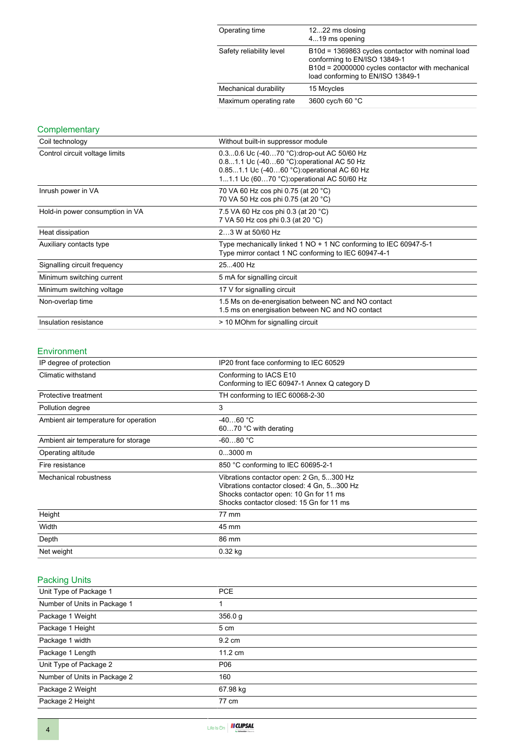| Operating time           | 1222 ms closing<br>419 ms opening                                                                                                                                          |
|--------------------------|----------------------------------------------------------------------------------------------------------------------------------------------------------------------------|
| Safety reliability level | B10d = 1369863 cycles contactor with nominal load<br>conforming to EN/ISO 13849-1<br>B10d = 20000000 cycles contactor with mechanical<br>load conforming to EN/ISO 13849-1 |
| Mechanical durability    | 15 Mcycles                                                                                                                                                                 |
| Maximum operating rate   | 3600 cyc/h 60 °C                                                                                                                                                           |

# **Complementary**

| Coil technology                 | Without built-in suppressor module                                                                                                                                                   |  |  |
|---------------------------------|--------------------------------------------------------------------------------------------------------------------------------------------------------------------------------------|--|--|
| Control circuit voltage limits  | 0.30.6 Uc (-4070 °C): drop-out AC 50/60 Hz<br>0.81.1 Uc (-4060 °C) operational AC 50 Hz<br>0.851.1 Uc (-4060 °C): operational AC 60 Hz<br>11.1 Uc (6070 °C): operational AC 50/60 Hz |  |  |
| Inrush power in VA              | 70 VA 60 Hz cos phi 0.75 (at 20 °C)<br>70 VA 50 Hz cos phi 0.75 (at 20 °C)                                                                                                           |  |  |
| Hold-in power consumption in VA | 7.5 VA 60 Hz cos phi 0.3 (at 20 °C)<br>7 VA 50 Hz cos phi 0.3 (at 20 °C)                                                                                                             |  |  |
| Heat dissipation                | 23 W at 50/60 Hz                                                                                                                                                                     |  |  |
| Auxiliary contacts type         | Type mechanically linked 1 NO + 1 NC conforming to IEC 60947-5-1<br>Type mirror contact 1 NC conforming to IEC 60947-4-1                                                             |  |  |
| Signalling circuit frequency    | 25400 Hz                                                                                                                                                                             |  |  |
| Minimum switching current       | 5 mA for signalling circuit                                                                                                                                                          |  |  |
| Minimum switching voltage       | 17 V for signalling circuit                                                                                                                                                          |  |  |
| Non-overlap time                | 1.5 Ms on de-energisation between NC and NO contact<br>1.5 ms on energisation between NC and NO contact                                                                              |  |  |
| Insulation resistance           | > 10 MOhm for signalling circuit                                                                                                                                                     |  |  |

#### Environment

| IP degree of protection               | IP20 front face conforming to IEC 60529                                                                                                                                      |  |
|---------------------------------------|------------------------------------------------------------------------------------------------------------------------------------------------------------------------------|--|
| Climatic withstand                    | Conforming to IACS E10<br>Conforming to IEC 60947-1 Annex Q category D                                                                                                       |  |
| Protective treatment                  | TH conforming to IEC 60068-2-30                                                                                                                                              |  |
| Pollution degree                      | 3                                                                                                                                                                            |  |
| Ambient air temperature for operation | $-4060 °C$<br>6070 °C with derating                                                                                                                                          |  |
| Ambient air temperature for storage   | $-6080 °C$                                                                                                                                                                   |  |
| Operating altitude                    | $03000$ m                                                                                                                                                                    |  |
| Fire resistance                       | 850 °C conforming to IEC 60695-2-1                                                                                                                                           |  |
| Mechanical robustness                 | Vibrations contactor open: 2 Gn, 5300 Hz<br>Vibrations contactor closed: 4 Gn, 5300 Hz<br>Shocks contactor open: 10 Gn for 11 ms<br>Shocks contactor closed: 15 Gn for 11 ms |  |
| Height                                | 77 mm                                                                                                                                                                        |  |
| Width                                 | 45 mm                                                                                                                                                                        |  |
| Depth                                 | 86 mm                                                                                                                                                                        |  |
| Net weight                            | $0.32$ kg                                                                                                                                                                    |  |

# Packing Units

| Unit Type of Package 1       | <b>PCE</b>        |
|------------------------------|-------------------|
| Number of Units in Package 1 |                   |
| Package 1 Weight             | 356.0 g           |
| Package 1 Height             | 5 cm              |
| Package 1 width              | 9.2 cm            |
| Package 1 Length             | $11.2 \text{ cm}$ |
| Unit Type of Package 2       | P06               |
| Number of Units in Package 2 | 160               |
| Package 2 Weight             | 67.98 kg          |
| Package 2 Height             | 77 cm             |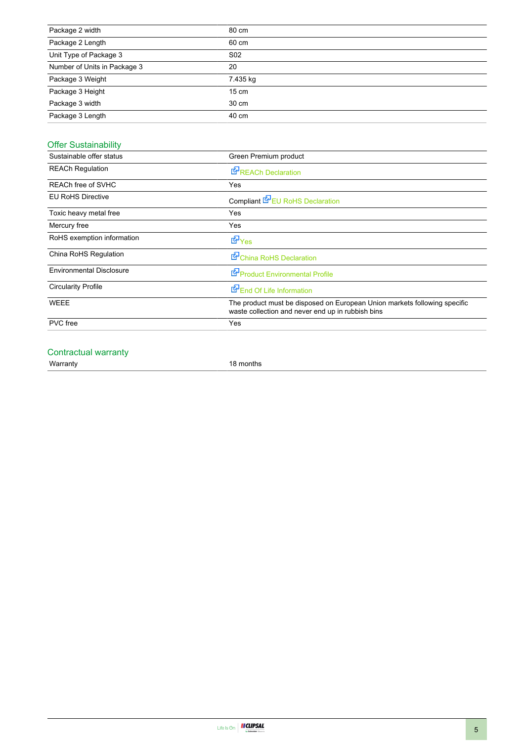| Package 2 width              | 80 cm           |
|------------------------------|-----------------|
| Package 2 Length             | 60 cm           |
| Unit Type of Package 3       | S <sub>02</sub> |
| Number of Units in Package 3 | 20              |
| Package 3 Weight             | 7.435 kg        |
| Package 3 Height             | $15 \text{ cm}$ |
| Package 3 width              | 30 cm           |
| Package 3 Length             | 40 cm           |

# Offer Sustainability

| Sustainable offer status        | Green Premium product                                                                                                          |  |  |
|---------------------------------|--------------------------------------------------------------------------------------------------------------------------------|--|--|
| <b>REACh Regulation</b>         | <b>E</b> REACh Declaration                                                                                                     |  |  |
| REACh free of SVHC              | Yes                                                                                                                            |  |  |
| <b>EU RoHS Directive</b>        | Compliant <b>E</b> EU RoHS Declaration                                                                                         |  |  |
| Toxic heavy metal free          | Yes                                                                                                                            |  |  |
| Mercury free                    | Yes                                                                                                                            |  |  |
| RoHS exemption information      | <b>E</b> Yes                                                                                                                   |  |  |
| China RoHS Regulation           | China RoHS Declaration                                                                                                         |  |  |
| <b>Environmental Disclosure</b> | Product Environmental Profile                                                                                                  |  |  |
| <b>Circularity Profile</b>      | End Of Life Information                                                                                                        |  |  |
| <b>WEEE</b>                     | The product must be disposed on European Union markets following specific<br>waste collection and never end up in rubbish bins |  |  |
| <b>PVC</b> free                 | Yes                                                                                                                            |  |  |
|                                 |                                                                                                                                |  |  |

### Contractual warranty

Warranty 18 months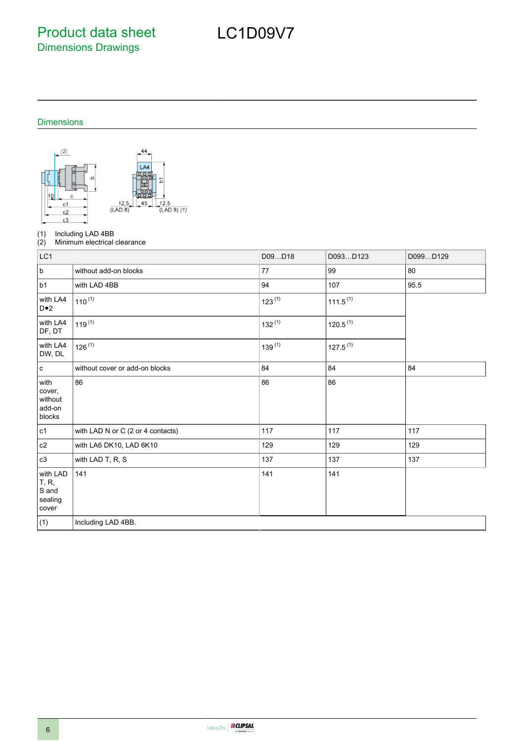Product data sheet Dimensions Drawings

# LC1D09V7

# Dimensions



(1) Including LAD 4BB<br>(2) Minimum electrical

Minimum electrical clearance

| LC1                                            |                                   | D09D18      | D093D123             | D099D129 |
|------------------------------------------------|-----------------------------------|-------------|----------------------|----------|
| $\sf b$                                        | without add-on blocks             | 77          | 99                   | 80       |
| b1                                             | with LAD 4BB                      | 94          | 107                  | 95.5     |
| with LA4<br>$D \bullet 2$                      | $110^{(1)}$                       | $123^{(1)}$ | $111.5^{(1)}$        |          |
| with LA4<br>DF, DT                             | $119^{(1)}$                       | $132^{(1)}$ | 120.5 <sup>(1)</sup> |          |
| with LA4<br>DW, DL                             | $126^{(1)}$                       | $139^{(1)}$ | $127.5^{(1)}$        |          |
| $\mathbf c$                                    | without cover or add-on blocks    | 84          | 84                   | 84       |
| with<br>cover,<br>without<br>add-on<br>blocks  | 86                                | 86          | 86                   |          |
| c1                                             | with LAD N or C (2 or 4 contacts) | 117         | 117                  | 117      |
| c2                                             | with LA6 DK10, LAD 6K10           | 129         | 129                  | 129      |
| c3                                             | with LAD T, R, S                  | 137         | 137                  | 137      |
| with LAD<br>T, R,<br>S and<br>sealing<br>cover | 141                               | 141         | 141                  |          |
| (1)                                            | Including LAD 4BB.                |             |                      |          |